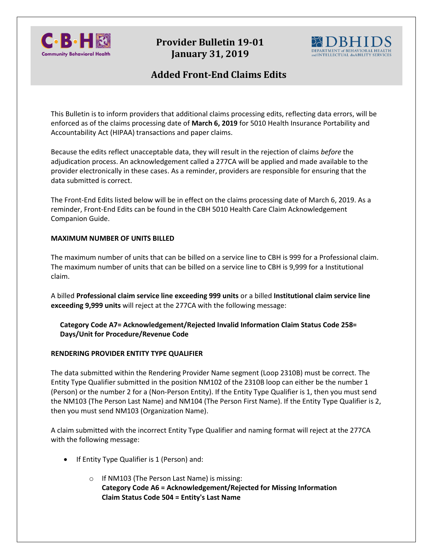

# **Provider Bulletin 19-01 January 31, 2019**



# **Added Front-End Claims Edits**

This Bulletin is to inform providers that additional claims processing edits, reflecting data errors, will be enforced as of the claims processing date of **March 6, 2019** for 5010 Health Insurance Portability and Accountability Act (HIPAA) transactions and paper claims.

Because the edits reflect unacceptable data, they will result in the rejection of claims *before* the adjudication process. An acknowledgement called a 277CA will be applied and made available to the provider electronically in these cases. As a reminder, providers are responsible for ensuring that the data submitted is correct.

The Front-End Edits listed below will be in effect on the claims processing date of March 6, 2019. As a reminder, Front-End Edits can be found in the CBH 5010 Health Care Claim Acknowledgement Companion Guide.

### **MAXIMUM NUMBER OF UNITS BILLED**

The maximum number of units that can be billed on a service line to CBH is 999 for a Professional claim. The maximum number of units that can be billed on a service line to CBH is 9,999 for a Institutional claim.

A billed **Professional claim service line exceeding 999 units** or a billed **Institutional claim service line exceeding 9,999 units** will reject at the 277CA with the following message:

**Category Code A7= Acknowledgement/Rejected Invalid Information Claim Status Code 258= Days/Unit for Procedure/Revenue Code**

#### **RENDERING PROVIDER ENTITY TYPE QUALIFIER**

The data submitted within the Rendering Provider Name segment (Loop 2310B) must be correct. The Entity Type Qualifier submitted in the position NM102 of the 2310B loop can either be the number 1 (Person) or the number 2 for a (Non-Person Entity). If the Entity Type Qualifier is 1, then you must send the NM103 (The Person Last Name) and NM104 (The Person First Name). If the Entity Type Qualifier is 2, then you must send NM103 (Organization Name).

A claim submitted with the incorrect Entity Type Qualifier and naming format will reject at the 277CA with the following message:

- If Entity Type Qualifier is 1 (Person) and:
	- o If NM103 (The Person Last Name) is missing: **Category Code A6 = Acknowledgement/Rejected for Missing Information Claim Status Code 504 = Entity's Last Name**